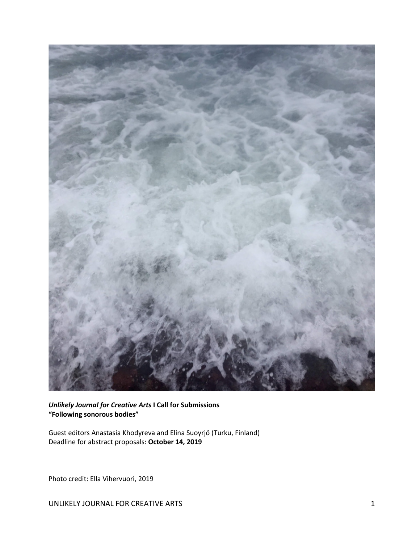

*Unlikely Journal for Creative Arts* **I Call for Submissions "Following sonorous bodies"**

Guest editors Anastasia Khodyreva and Elina Suoyrjö (Turku, Finland) Deadline for abstract proposals: **October 14, 2019**

Photo credit: Ella Vihervuori, 2019

UNLIKELY JOURNAL FOR CREATIVE ARTS 1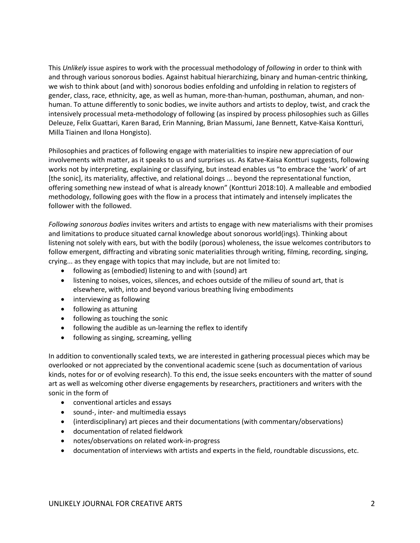This *Unlikely* issue aspires to work with the processual methodology of *following* in order to think with and through various sonorous bodies. Against habitual hierarchizing, binary and human-centric thinking, we wish to think about (and with) sonorous bodies enfolding and unfolding in relation to registers of gender, class, race, ethnicity, age, as well as human, more-than-human, posthuman, ahuman, and nonhuman. To attune differently to sonic bodies, we invite authors and artists to deploy, twist, and crack the intensively processual meta-methodology of following (as inspired by process philosophies such as Gilles Deleuze, Felix Guattari, Karen Barad, Erin Manning, Brian Massumi, Jane Bennett, Katve-Kaisa Kontturi, Milla Tiainen and Ilona Hongisto).

Philosophies and practices of following engage with materialities to inspire new appreciation of our involvements with matter, as it speaks to us and surprises us. As Katve-Kaisa Kontturi suggests, following works not by interpreting, explaining or classifying, but instead enables us "to embrace the 'work' of art [the sonic], its materiality, affective, and relational doings ... beyond the representational function, offering something new instead of what is already known" (Kontturi 2018:10). A malleable and embodied methodology, following goes with the flow in a process that intimately and intensely implicates the follower with the followed.

*Following sonorous bodies* invites writers and artists to engage with new materialisms with their promises and limitations to produce situated carnal knowledge about sonorous world(ings). Thinking about listening not solely with ears, but with the bodily (porous) wholeness, the issue welcomes contributors to follow emergent, diffracting and vibrating sonic materialities through writing, filming, recording, singing, crying... as they engage with topics that may include, but are not limited to:

- following as (embodied) listening to and with (sound) art
- listening to noises, voices, silences, and echoes outside of the milieu of sound art, that is elsewhere, with, into and beyond various breathing living embodiments
- interviewing as following
- following as attuning
- following as touching the sonic
- following the audible as un-learning the reflex to identify
- following as singing, screaming, yelling

In addition to conventionally scaled texts, we are interested in gathering processual pieces which may be overlooked or not appreciated by the conventional academic scene (such as documentation of various kinds, notes for or of evolving research). To this end, the issue seeks encounters with the matter of sound art as well as welcoming other diverse engagements by researchers, practitioners and writers with the sonic in the form of

- conventional articles and essays
- sound-, inter- and multimedia essays
- (interdisciplinary) art pieces and their documentations (with commentary/observations)
- documentation of related fieldwork
- notes/observations on related work-in-progress
- documentation of interviews with artists and experts in the field, roundtable discussions, etc.